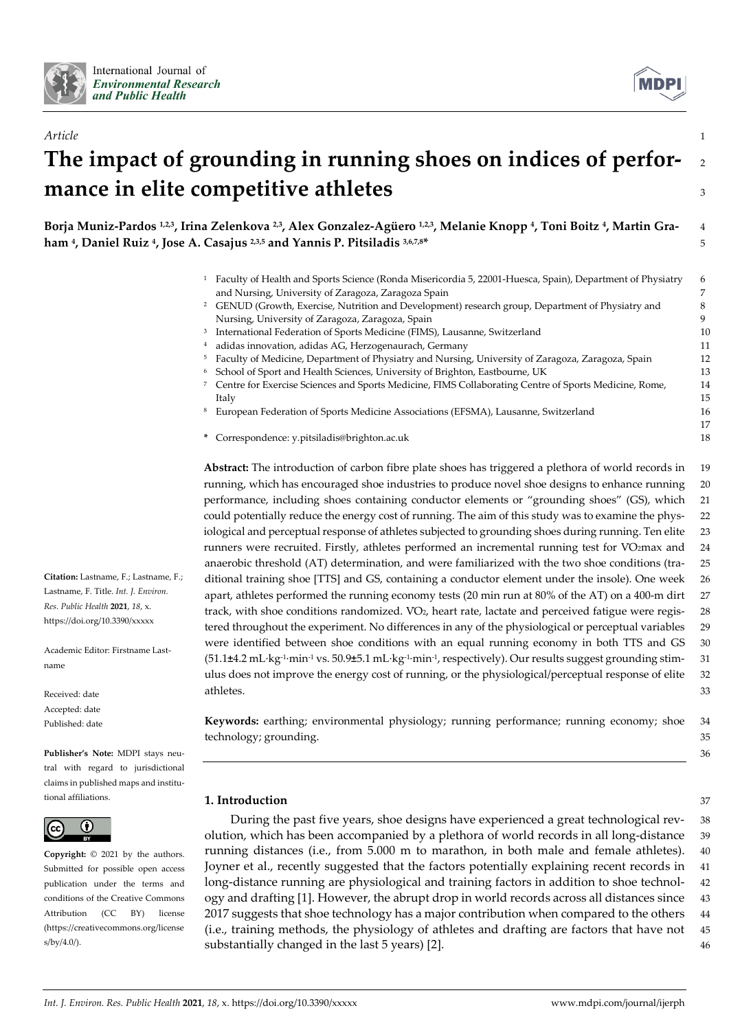



36

# *Article* 1 **The impact of grounding in running shoes on indices of perfor-** <sup>2</sup> **mance in elite competitive athletes** <sup>3</sup>

**Borja Muniz-Pardos 1,2,3, Irina Zelenkova 2,3, Alex Gonzalez-Agüero 1,2,3, Melanie Knopp 4, Toni Boitz 4, Martin Gra-** 4 **ham 4, Daniel Ruiz 4, Jose A. Casajus 2,3,5 and Yannis P. Pitsiladis 3,6,7,8\*** 5

- <sup>1</sup> Faculty of Health and Sports Science (Ronda Misericordia 5, 22001-Huesca, Spain), Department of Physiatry 6 and Nursing, University of Zaragoza, Zaragoza Spain 7 <sup>2</sup> GENUD (Growth, Exercise, Nutrition and Development) research group, Department of Physiatry and 8 Nursing, University of Zaragoza, Zaragoza, Spain 9 <sup>3</sup> International Federation of Sports Medicine (FIMS), Lausanne, Switzerland 10
- <sup>4</sup> adidas innovation, adidas AG, Herzogenaurach, Germany 11
- <sup>5</sup> Faculty of Medicine, Department of Physiatry and Nursing, University of Zaragoza, Zaragoza, Spain 12
- <sup>6</sup> School of Sport and Health Sciences, University of Brighton, Eastbourne, UK 13
- <sup>7</sup> Centre for Exercise Sciences and Sports Medicine, FIMS Collaborating Centre of Sports Medicine, Rome, 14 Italy 15
- <sup>8</sup> European Federation of Sports Medicine Associations (EFSMA), Lausanne, Switzerland 16
- **\*** Correspondence: y.pitsiladis@brighton.ac.uk 18

**Abstract:** The introduction of carbon fibre plate shoes has triggered a plethora of world records in 19 running, which has encouraged shoe industries to produce novel shoe designs to enhance running 20 performance, including shoes containing conductor elements or "grounding shoes" (GS), which 21 could potentially reduce the energy cost of running. The aim of this study was to examine the phys- 22 iological and perceptual response of athletes subjected to grounding shoes during running. Ten elite 23 runners were recruited. Firstly, athletes performed an incremental running test for VO2max and 24 anaerobic threshold (AT) determination, and were familiarized with the two shoe conditions (tra- 25 ditional training shoe [TTS] and GS, containing a conductor element under the insole). One week 26 apart, athletes performed the running economy tests (20 min run at 80% of the AT) on a 400-m dirt 27 track, with shoe conditions randomized. VO<sub>2</sub>, heart rate, lactate and perceived fatigue were regis- 28 tered throughout the experiment. No differences in any of the physiological or perceptual variables 29 were identified between shoe conditions with an equal running economy in both TTS and GS 30 (51.1**±**4.2 mL·kg-1·min-1 vs. 50.9**±**5.1 mL·kg-1·min-1, respectively). Our results suggest grounding stim- 31 ulus does not improve the energy cost of running, or the physiological/perceptual response of elite 32 athletes. 33

**Keywords:** earthing; environmental physiology; running performance; running economy; shoe 34 technology; grounding.  $\frac{35}{2}$ 

# **1. Introduction** 37

During the past five years, shoe designs have experienced a great technological rev- 38 olution, which has been accompanied by a plethora of world records in all long-distance 39 running distances (i.e., from 5.000 m to marathon, in both male and female athletes). 40 Joyner et al., recently suggested that the factors potentially explaining recent records in 41 long-distance running are physiological and training factors in addition to shoe technol- 42 ogy and drafting [1]. However, the abrupt drop in world records across all distances since 43 2017 suggests that shoe technology has a major contribution when compared to the others 44 (i.e., training methods, the physiology of athletes and drafting are factors that have not 45 substantially changed in the last 5 years) [2].  $\frac{46}{100}$ 

**Citation:** Lastname, F.; Lastname, F.; Lastname, F. Title. *Int. J. Environ. Res. Public Health* **2021**, *18*, x. https://doi.org/10.3390/xxxxx

Academic Editor: Firstname Lastname

Received: date Accepted: date Published: date

**Publisher's Note:** MDPI stays neutral with regard to jurisdictional claims in published maps and institutional affiliations.



**Copyright:** © 2021 by the authors. Submitted for possible open access publication under the terms and conditions of the Creative Commons Attribution (CC BY) license (https://creativecommons.org/license s/by/4.0/).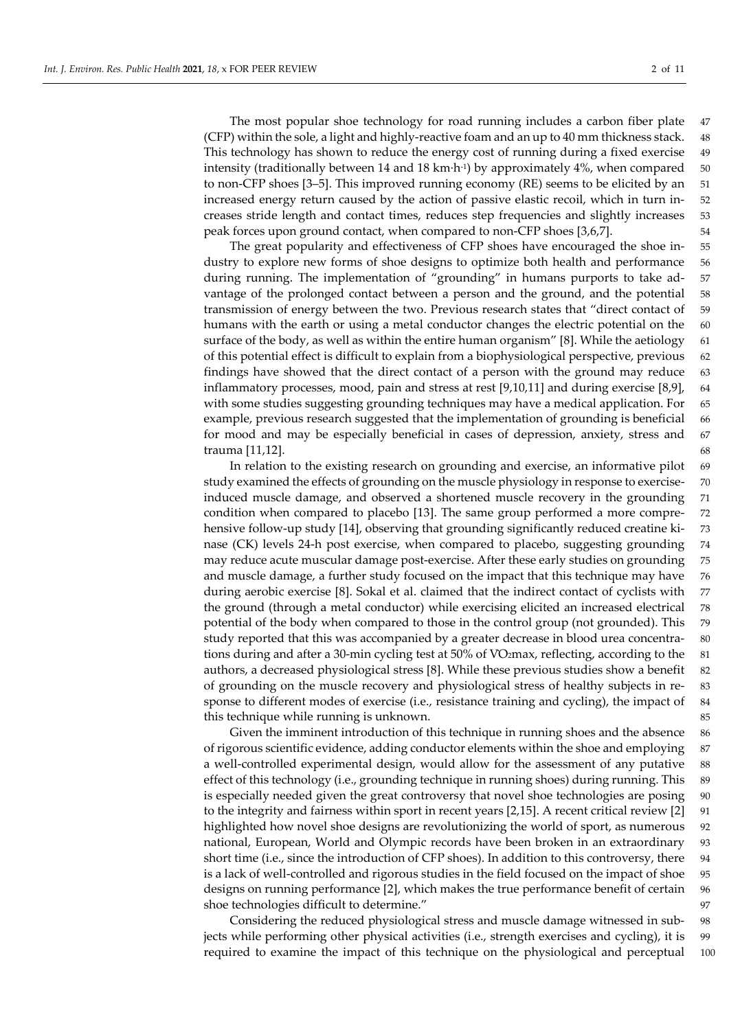The most popular shoe technology for road running includes a carbon fiber plate 47 (CFP) within the sole, a light and highly-reactive foam and an up to 40 mm thickness stack. 48 This technology has shown to reduce the energy cost of running during a fixed exercise 49 intensity (traditionally between 14 and 18 km·h<sup>-1</sup>) by approximately 4%, when compared 50 to non-CFP shoes [3–5]. This improved running economy (RE) seems to be elicited by an 51 increased energy return caused by the action of passive elastic recoil, which in turn in- 52 creases stride length and contact times, reduces step frequencies and slightly increases 53 peak forces upon ground contact, when compared to non-CFP shoes [3,6,7]. 54

The great popularity and effectiveness of CFP shoes have encouraged the shoe in- 55 dustry to explore new forms of shoe designs to optimize both health and performance 56 during running. The implementation of "grounding" in humans purports to take ad- 57 vantage of the prolonged contact between a person and the ground, and the potential 58 transmission of energy between the two. Previous research states that "direct contact of 59 humans with the earth or using a metal conductor changes the electric potential on the 60 surface of the body, as well as within the entire human organism" [8]. While the aetiology 61 of this potential effect is difficult to explain from a biophysiological perspective, previous 62 findings have showed that the direct contact of a person with the ground may reduce 63 inflammatory processes, mood, pain and stress at rest [9,10,11] and during exercise [8,9], 64 with some studies suggesting grounding techniques may have a medical application. For 65 example, previous research suggested that the implementation of grounding is beneficial 66 for mood and may be especially beneficial in cases of depression, anxiety, stress and 67 trauma [11,12]. 68

In relation to the existing research on grounding and exercise, an informative pilot 69 study examined the effects of grounding on the muscle physiology in response to exercise- 70 induced muscle damage, and observed a shortened muscle recovery in the grounding 71 condition when compared to placebo [13]. The same group performed a more compre- 72 hensive follow-up study [14], observing that grounding significantly reduced creatine ki- 73 nase (CK) levels 24-h post exercise, when compared to placebo, suggesting grounding 74 may reduce acute muscular damage post-exercise. After these early studies on grounding 75 and muscle damage, a further study focused on the impact that this technique may have 76 during aerobic exercise [8]. Sokal et al. claimed that the indirect contact of cyclists with 77 the ground (through a metal conductor) while exercising elicited an increased electrical 78 potential of the body when compared to those in the control group (not grounded). This 79 study reported that this was accompanied by a greater decrease in blood urea concentra- 80 tions during and after a 30-min cycling test at 50% of VO2max, reflecting, according to the 81 authors, a decreased physiological stress [8]. While these previous studies show a benefit 82 of grounding on the muscle recovery and physiological stress of healthy subjects in re- 83 sponse to different modes of exercise (i.e., resistance training and cycling), the impact of 84 this technique while running is unknown. 85

Given the imminent introduction of this technique in running shoes and the absence 86 of rigorous scientific evidence, adding conductor elements within the shoe and employing 87 a well-controlled experimental design, would allow for the assessment of any putative 88 effect of this technology (i.e., grounding technique in running shoes) during running. This 89 is especially needed given the great controversy that novel shoe technologies are posing 90 to the integrity and fairness within sport in recent years [2,15]. A recent critical review [2] 91 highlighted how novel shoe designs are revolutionizing the world of sport, as numerous 92 national, European, World and Olympic records have been broken in an extraordinary 93 short time (i.e., since the introduction of CFP shoes). In addition to this controversy, there 94 is a lack of well-controlled and rigorous studies in the field focused on the impact of shoe 95 designs on running performance [2], which makes the true performance benefit of certain 96 shoe technologies difficult to determine." 97

Considering the reduced physiological stress and muscle damage witnessed in sub- 98 jects while performing other physical activities (i.e., strength exercises and cycling), it is 99 required to examine the impact of this technique on the physiological and perceptual 100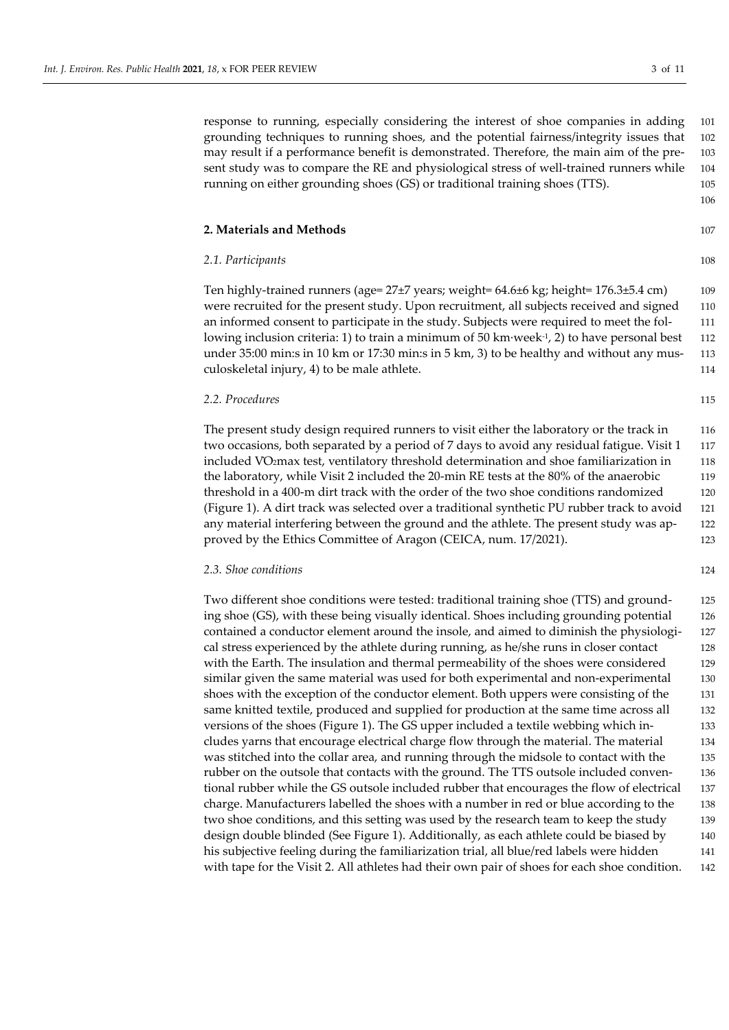response to running, especially considering the interest of shoe companies in adding 101 grounding techniques to running shoes, and the potential fairness/integrity issues that 102 may result if a performance benefit is demonstrated. Therefore, the main aim of the pre- 103 sent study was to compare the RE and physiological stress of well-trained runners while 104 running on either grounding shoes (GS) or traditional training shoes (TTS). 105

#### **2. Materials and Methods** 107

### *2.1. Participants* 108

Ten highly-trained runners (age= 27±7 years; weight= 64.6±6 kg; height= 176.3±5.4 cm) 109 were recruited for the present study. Upon recruitment, all subjects received and signed 110 an informed consent to participate in the study. Subjects were required to meet the fol- 111 lowing inclusion criteria: 1) to train a minimum of 50 km·week $\frac{1}{2}$ , 2) to have personal best 112 under 35:00 min:s in 10 km or 17:30 min:s in 5 km, 3) to be healthy and without any mus- 113 culoskeletal injury, 4) to be male athlete. 114

#### *2.2. Procedures* 115

The present study design required runners to visit either the laboratory or the track in 116 two occasions, both separated by a period of 7 days to avoid any residual fatigue. Visit 1 117 included V̇O2max test, ventilatory threshold determination and shoe familiarization in 118 the laboratory, while Visit 2 included the 20-min RE tests at the 80% of the anaerobic 119 threshold in a 400-m dirt track with the order of the two shoe conditions randomized 120 (Figure 1). A dirt track was selected over a traditional synthetic PU rubber track to avoid 121 any material interfering between the ground and the athlete. The present study was ap- 122 proved by the Ethics Committee of Aragon (CEICA, num. 17/2021). 123

## *2.3. Shoe conditions* 124

Two different shoe conditions were tested: traditional training shoe (TTS) and ground- 125 ing shoe (GS), with these being visually identical. Shoes including grounding potential 126 contained a conductor element around the insole, and aimed to diminish the physiologi- 127 cal stress experienced by the athlete during running, as he/she runs in closer contact 128 with the Earth. The insulation and thermal permeability of the shoes were considered 129 similar given the same material was used for both experimental and non-experimental 130 shoes with the exception of the conductor element. Both uppers were consisting of the 131 same knitted textile, produced and supplied for production at the same time across all 132 versions of the shoes (Figure 1). The GS upper included a textile webbing which in- 133 cludes yarns that encourage electrical charge flow through the material. The material 134 was stitched into the collar area, and running through the midsole to contact with the 135 rubber on the outsole that contacts with the ground. The TTS outsole included conven- 136 tional rubber while the GS outsole included rubber that encourages the flow of electrical 137 charge. Manufacturers labelled the shoes with a number in red or blue according to the 138 two shoe conditions, and this setting was used by the research team to keep the study 139 design double blinded (See Figure 1). Additionally, as each athlete could be biased by 140 his subjective feeling during the familiarization trial, all blue/red labels were hidden 141 with tape for the Visit 2. All athletes had their own pair of shoes for each shoe condition. 142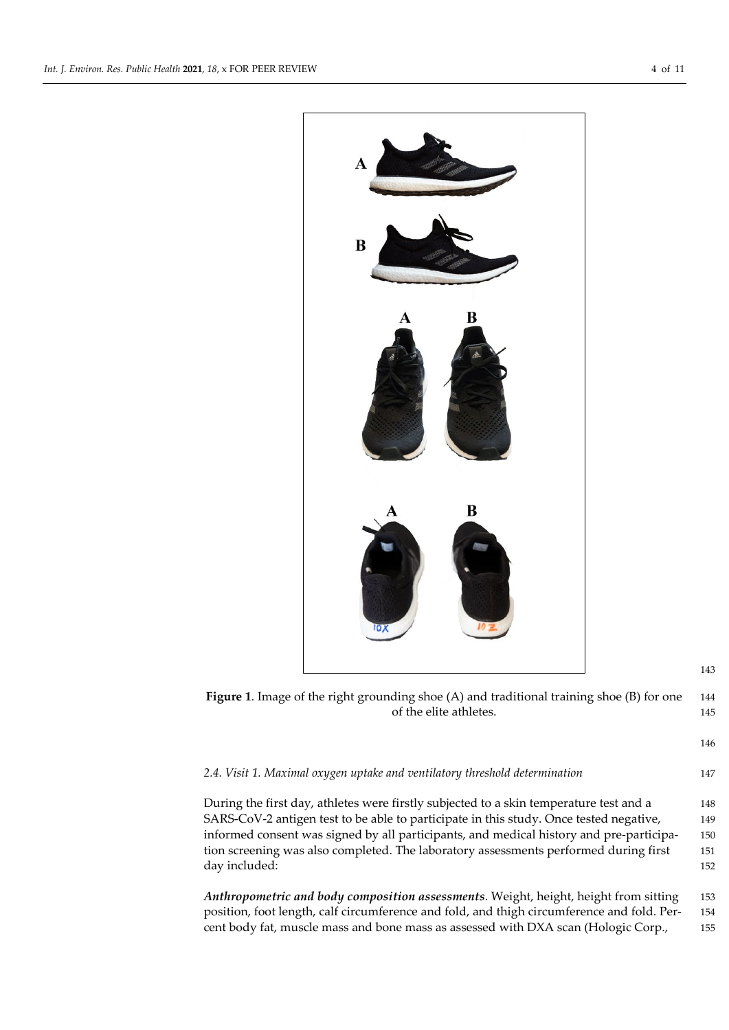

**Figure 1**. Image of the right grounding shoe (A) and traditional training shoe (B) for one 144 of the elite athletes. 145

146

# *2.4. Visit 1. Maximal oxygen uptake and ventilatory threshold determination* 147

During the first day, athletes were firstly subjected to a skin temperature test and a 148 SARS-CoV-2 antigen test to be able to participate in this study. Once tested negative, 149 informed consent was signed by all participants, and medical history and pre-participa- 150 tion screening was also completed. The laboratory assessments performed during first 151 day included: 152

*Anthropometric and body composition assessments*. Weight, height, height from sitting 153 position, foot length, calf circumference and fold, and thigh circumference and fold. Per- 154 cent body fat, muscle mass and bone mass as assessed with DXA scan (Hologic Corp., 155

- 
-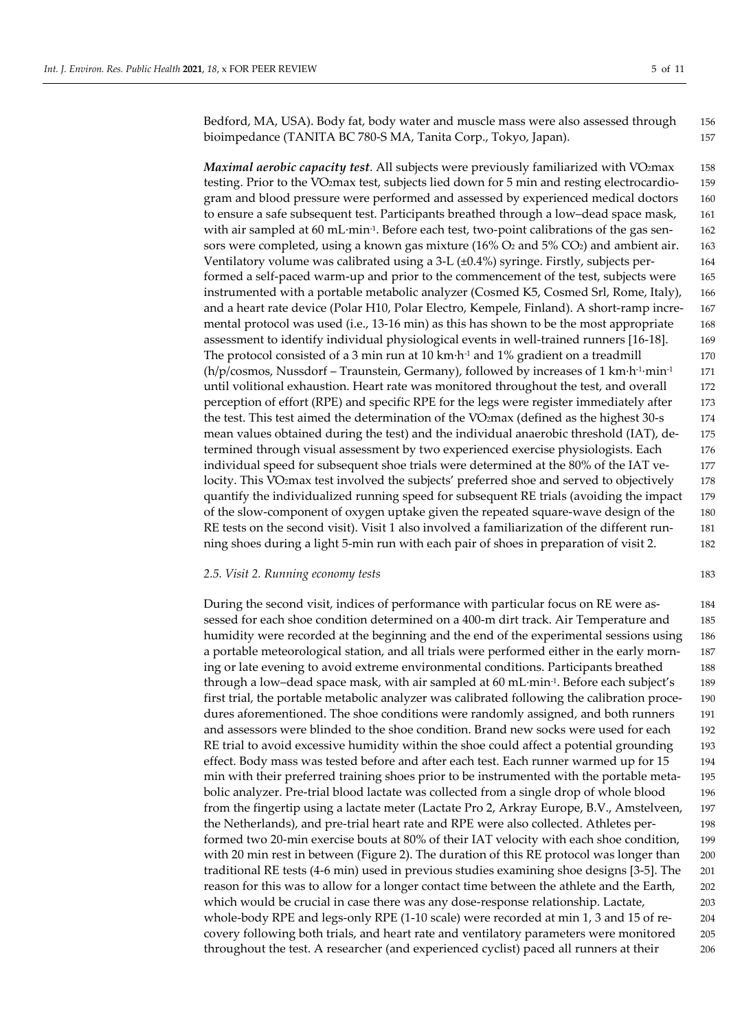Bedford, MA, USA). Body fat, body water and muscle mass were also assessed through 156 bioimpedance (TANITA BC 780-S MA, Tanita Corp., Tokyo, Japan). 157

*Maximal aerobic capacity test.* All subjects were previously familiarized with VO2max 158 testing. Prior to the V̇O2max test, subjects lied down for 5 min and resting electrocardio- 159 gram and blood pressure were performed and assessed by experienced medical doctors 160 to ensure a safe subsequent test. Participants breathed through a low-dead space mask, 161 with air sampled at 60 mL·min<sup>-1</sup>. Before each test, two-point calibrations of the gas sen- 162 sors were completed, using a known gas mixture (16%  $O_2$  and 5%  $CO_2$ ) and ambient air. 163 Ventilatory volume was calibrated using a  $3-L$  ( $\pm 0.4\%$ ) syringe. Firstly, subjects per- 164 formed a self-paced warm-up and prior to the commencement of the test, subjects were 165 instrumented with a portable metabolic analyzer (Cosmed K5, Cosmed Srl, Rome, Italy), 166 and a heart rate device (Polar H10, Polar Electro, Kempele, Finland). A short-ramp incre- 167 mental protocol was used (i.e., 13-16 min) as this has shown to be the most appropriate 168 assessment to identify individual physiological events in well-trained runners [16-18]. 169 The protocol consisted of a 3 min run at 10 km·h<sup>-1</sup> and 1% gradient on a treadmill  $170$  $(h/p/cosmos, Nussdor f - Traunstein, Germany)$ , followed by increases of 1 km·h<sup>-1</sup>·min<sup>-1</sup> 171 until volitional exhaustion. Heart rate was monitored throughout the test, and overall 172 perception of effort (RPE) and specific RPE for the legs were register immediately after 173 the test. This test aimed the determination of the VO2max (defined as the highest 30-s 174 mean values obtained during the test) and the individual anaerobic threshold (IAT), de- 175 termined through visual assessment by two experienced exercise physiologists. Each 176 individual speed for subsequent shoe trials were determined at the 80% of the IAT ve- 177 locity. This VO<sub>2</sub>max test involved the subjects' preferred shoe and served to objectively 178 quantify the individualized running speed for subsequent RE trials (avoiding the impact 179 of the slow-component of oxygen uptake given the repeated square-wave design of the 180 RE tests on the second visit). Visit 1 also involved a familiarization of the different run- 181 ning shoes during a light 5-min run with each pair of shoes in preparation of visit 2. 182

## *2.5. Visit 2. Running economy tests* 183

During the second visit, indices of performance with particular focus on RE were as- 184 sessed for each shoe condition determined on a 400-m dirt track. Air Temperature and 185 humidity were recorded at the beginning and the end of the experimental sessions using 186 a portable meteorological station, and all trials were performed either in the early morn- 187 ing or late evening to avoid extreme environmental conditions. Participants breathed 188 through a low–dead space mask, with air sampled at  $60$  mL·min<sup>-1</sup>. Before each subject's 189 first trial, the portable metabolic analyzer was calibrated following the calibration proce- 190 dures aforementioned. The shoe conditions were randomly assigned, and both runners 191 and assessors were blinded to the shoe condition. Brand new socks were used for each 192 RE trial to avoid excessive humidity within the shoe could affect a potential grounding 193 effect. Body mass was tested before and after each test. Each runner warmed up for 15 194 min with their preferred training shoes prior to be instrumented with the portable meta- 195 bolic analyzer. Pre-trial blood lactate was collected from a single drop of whole blood 196 from the fingertip using a lactate meter (Lactate Pro 2, Arkray Europe, B.V., Amstelveen, 197 the Netherlands), and pre-trial heart rate and RPE were also collected. Athletes per- 198 formed two 20-min exercise bouts at 80% of their IAT velocity with each shoe condition, 199 with 20 min rest in between (Figure 2). The duration of this RE protocol was longer than 200 traditional RE tests (4-6 min) used in previous studies examining shoe designs [3-5]. The 201 reason for this was to allow for a longer contact time between the athlete and the Earth, 202 which would be crucial in case there was any dose-response relationship. Lactate, 203 whole-body RPE and legs-only RPE (1-10 scale) were recorded at min 1, 3 and 15 of re- 204 covery following both trials, and heart rate and ventilatory parameters were monitored 205 throughout the test. A researcher (and experienced cyclist) paced all runners at their 206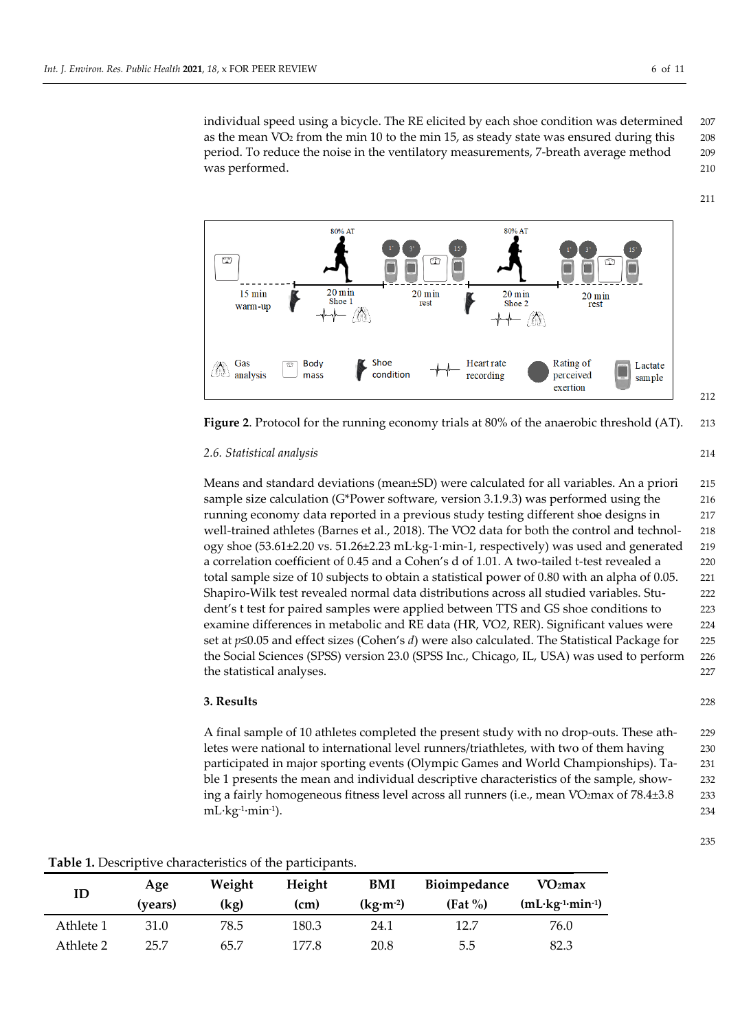individual speed using a bicycle. The RE elicited by each shoe condition was determined 207 as the mean VO<sub>2</sub> from the min 10 to the min 15, as steady state was ensured during this 208 period. To reduce the noise in the ventilatory measurements, 7-breath average method 209 was performed. 210



**Figure 2**. Protocol for the running economy trials at 80% of the anaerobic threshold (AT). 213

## *2.6. Statistical analysis* 214

Means and standard deviations (mean±SD) were calculated for all variables. An a priori 215 sample size calculation (G\*Power software, version 3.1.9.3) was performed using the 216 running economy data reported in a previous study testing different shoe designs in 217 well-trained athletes (Barnes et al., 2018). The V̇O2 data for both the control and technol- 218 ogy shoe (53.61±2.20 vs. 51.26±2.23 mL·kg-1·min-1, respectively) was used and generated 219 a correlation coefficient of 0.45 and a Cohen's d of 1.01. A two-tailed t-test revealed a 220 total sample size of 10 subjects to obtain a statistical power of 0.80 with an alpha of 0.05. 221 Shapiro-Wilk test revealed normal data distributions across all studied variables. Stu- 222 dent's t test for paired samples were applied between TTS and GS shoe conditions to 223 examine differences in metabolic and RE data (HR, V̇O*2*, RER). Significant values were 224 set at *p*≤0.05 and effect sizes (Cohen's *d*) were also calculated. The Statistical Package for 225 the Social Sciences (SPSS) version 23.0 (SPSS Inc., Chicago, IL, USA) was used to perform 226 the statistical analyses. 227

## **3. Results** 228

A final sample of 10 athletes completed the present study with no drop-outs. These ath- 229 letes were national to international level runners/triathletes, with two of them having 230 participated in major sporting events (Olympic Games and World Championships). Ta- 231 ble 1 presents the mean and individual descriptive characteristics of the sample, show- 232 ing a fairly homogeneous fitness level across all runners (i.e., mean VO2max of 78.4±3.8 233 mL·kg-1·min-1). 234

**Table 1.** Descriptive characteristics of the participants.

| ID        | Age<br>(vears) | Weight<br>(kg) | Height<br>(cm) | <b>BMI</b><br>$(kg·m-2)$ | Bioimpedance<br>$(Fat \%)$ | VO <sub>2</sub> max<br>$(mL \cdot kg^{-1} \cdot min^{-1})$ |
|-----------|----------------|----------------|----------------|--------------------------|----------------------------|------------------------------------------------------------|
| Athlete 1 | 31.0           | 78.5           | 180.3          | 24.1                     | 12.7                       | 76.0                                                       |
| Athlete 2 | 25.7           | 65.7           | 177.8          | 20.8                     | 5.5                        | 82.3                                                       |

211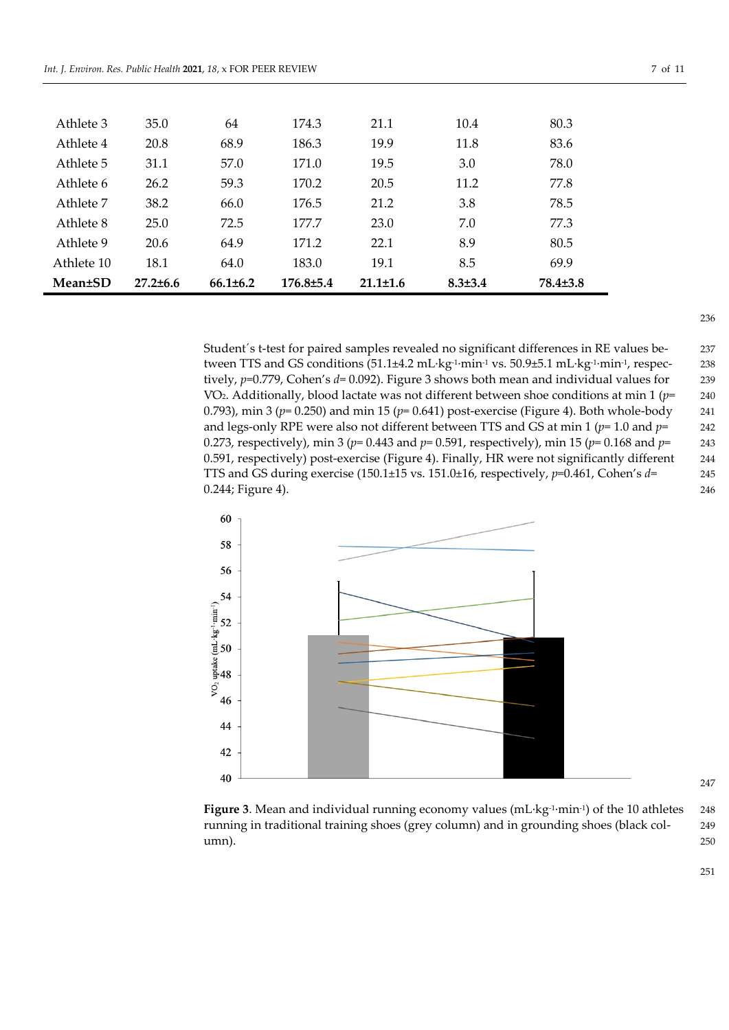| 35.0           | 64             | 174.3           | 21.1           | 10.4          | 80.3           |
|----------------|----------------|-----------------|----------------|---------------|----------------|
| 20.8           | 68.9           | 186.3           | 19.9           | 11.8          | 83.6           |
| 31.1           | 57.0           | 171.0           | 19.5           | 3.0           | 78.0           |
| 26.2           | 59.3           | 170.2           | 20.5           | 11.2          | 77.8           |
| 38.2           | 66.0           | 176.5           | 21.2           | 3.8           | 78.5           |
| 25.0           | 72.5           | 177.7           | 23.0           | 7.0           | 77.3           |
| 20.6           | 64.9           | 171.2           | 22.1           | 8.9           | 80.5           |
| 18.1           | 64.0           | 183.0           | 19.1           | 8.5           | 69.9           |
| $27.2 \pm 6.6$ | $66.1 \pm 6.2$ | $176.8 \pm 5.4$ | $21.1 \pm 1.6$ | $8.3 \pm 3.4$ | $78.4 \pm 3.8$ |
|                |                |                 |                |               |                |

Student´s t-test for paired samples revealed no significant differences in RE values be- 237 tween TTS and GS conditions (51.1±4.2 mL·kg<sup>-1</sup>·min<sup>-1</sup> vs. 50.9±5.1 mL·kg<sup>-1</sup>·min<sup>-1</sup>, respec- 238 tively, *p*=0.779, Cohen's *d*= 0.092). Figure 3 shows both mean and individual values for 239 V̇O2. Additionally, blood lactate was not different between shoe conditions at min 1 (*p*= 240 0.793), min 3 ( $p=0.250$ ) and min 15 ( $p=0.641$ ) post-exercise (Figure 4). Both whole-body 241 and legs-only RPE were also not different between TTS and GS at min 1 (*p*= 1.0 and *p*= 242 0.273, respectively), min 3 (*p*= 0.443 and *p*= 0.591, respectively), min 15 (*p*= 0.168 and *p*= 243 0.591, respectively) post-exercise (Figure 4). Finally, HR were not significantly different 244 TTS and GS during exercise (150.1±15 vs. 151.0±16, respectively, *p*=0.461, Cohen's *d*= 245 0.244; Figure 4). 246



**Figure 3.** Mean and individual running economy values (mL·kg<sup>-1</sup>·min<sup>-1</sup>) of the 10 athletes 248 running in traditional training shoes (grey column) and in grounding shoes (black col- 249 umn). 250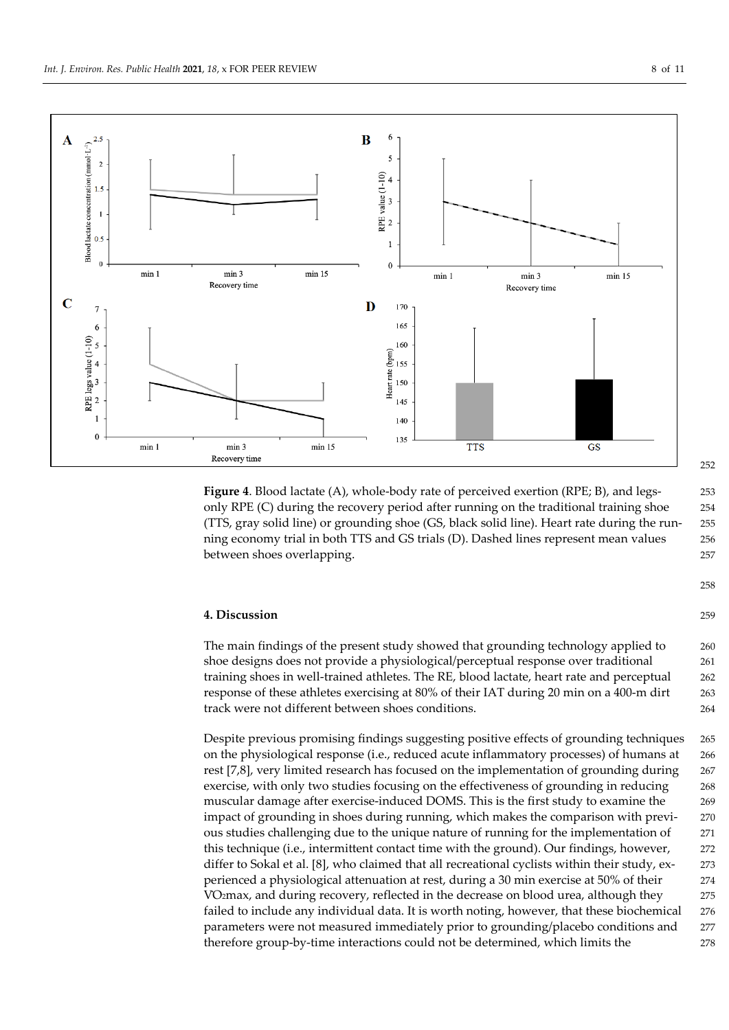



**Figure 4**. Blood lactate (A), whole-body rate of perceived exertion (RPE; B), and legs- 253 only RPE (C) during the recovery period after running on the traditional training shoe 254 (TTS, gray solid line) or grounding shoe (GS, black solid line). Heart rate during the run- 255 ning economy trial in both TTS and GS trials (D). Dashed lines represent mean values 256 between shoes overlapping. 257

## **4. Discussion** 259

The main findings of the present study showed that grounding technology applied to 260 shoe designs does not provide a physiological/perceptual response over traditional 261 training shoes in well-trained athletes. The RE, blood lactate, heart rate and perceptual 262 response of these athletes exercising at 80% of their IAT during 20 min on a 400-m dirt 263 track were not different between shoes conditions. 264

Despite previous promising findings suggesting positive effects of grounding techniques 265 on the physiological response (i.e., reduced acute inflammatory processes) of humans at 266 rest [7,8], very limited research has focused on the implementation of grounding during 267 exercise, with only two studies focusing on the effectiveness of grounding in reducing 268 muscular damage after exercise-induced DOMS. This is the first study to examine the 269 impact of grounding in shoes during running, which makes the comparison with previ- 270 ous studies challenging due to the unique nature of running for the implementation of 271 this technique (i.e., intermittent contact time with the ground). Our findings, however, 272 differ to Sokal et al. [8], who claimed that all recreational cyclists within their study, ex- 273 perienced a physiological attenuation at rest, during a 30 min exercise at 50% of their 274 V̇O2max, and during recovery, reflected in the decrease on blood urea, although they 275 failed to include any individual data. It is worth noting, however, that these biochemical 276 parameters were not measured immediately prior to grounding/placebo conditions and 277 therefore group-by-time interactions could not be determined, which limits the 278

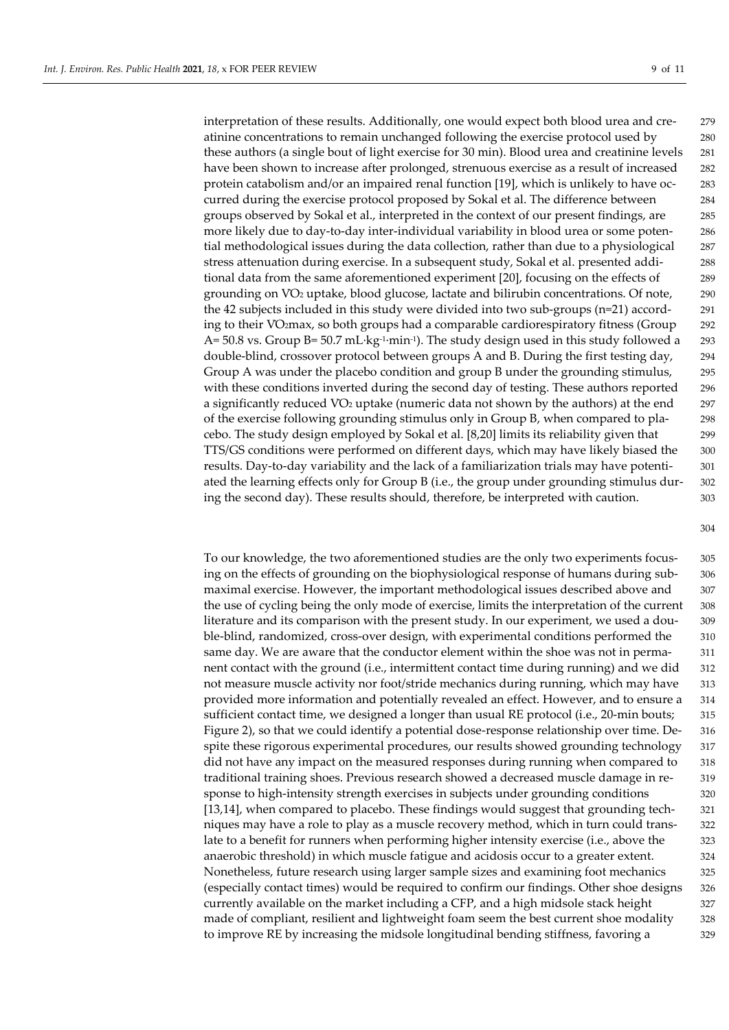interpretation of these results. Additionally, one would expect both blood urea and cre- 279 atinine concentrations to remain unchanged following the exercise protocol used by 280 these authors (a single bout of light exercise for 30 min). Blood urea and creatinine levels 281 have been shown to increase after prolonged, strenuous exercise as a result of increased 282 protein catabolism and/or an impaired renal function [19], which is unlikely to have oc- 283 curred during the exercise protocol proposed by Sokal et al. The difference between 284 groups observed by Sokal et al., interpreted in the context of our present findings, are 285 more likely due to day-to-day inter-individual variability in blood urea or some poten- 286 tial methodological issues during the data collection, rather than due to a physiological 287 stress attenuation during exercise. In a subsequent study, Sokal et al. presented addi- 288 tional data from the same aforementioned experiment [20], focusing on the effects of 289 grounding on V̇O2 uptake, blood glucose, lactate and bilirubin concentrations. Of note, 290 the 42 subjects included in this study were divided into two sub-groups (n=21) accord- 291 ing to their V̇O2max, so both groups had a comparable cardiorespiratory fitness (Group 292 A= 50.8 vs. Group B= 50.7 mL·kg<sup>-1</sup>·min<sup>-1</sup>). The study design used in this study followed a 293 double-blind, crossover protocol between groups A and B. During the first testing day, 294 Group A was under the placebo condition and group B under the grounding stimulus, 295 with these conditions inverted during the second day of testing. These authors reported 296 a significantly reduced  $VO<sub>2</sub>$  uptake (numeric data not shown by the authors) at the end 297 of the exercise following grounding stimulus only in Group B, when compared to pla- 298 cebo. The study design employed by Sokal et al. [8,20] limits its reliability given that 299 TTS/GS conditions were performed on different days, which may have likely biased the 300 results. Day-to-day variability and the lack of a familiarization trials may have potenti- 301 ated the learning effects only for Group B (i.e., the group under grounding stimulus dur- 302 ing the second day). These results should, therefore, be interpreted with caution. 303

To our knowledge, the two aforementioned studies are the only two experiments focus- 305 ing on the effects of grounding on the biophysiological response of humans during sub- 306 maximal exercise. However, the important methodological issues described above and 307 the use of cycling being the only mode of exercise, limits the interpretation of the current 308 literature and its comparison with the present study. In our experiment, we used a dou- 309 ble-blind, randomized, cross-over design, with experimental conditions performed the 310 same day. We are aware that the conductor element within the shoe was not in perma- 311 nent contact with the ground (i.e., intermittent contact time during running) and we did 312 not measure muscle activity nor foot/stride mechanics during running, which may have 313 provided more information and potentially revealed an effect. However, and to ensure a 314 sufficient contact time, we designed a longer than usual RE protocol (i.e., 20-min bouts; 315 Figure 2), so that we could identify a potential dose-response relationship over time. De- 316 spite these rigorous experimental procedures, our results showed grounding technology 317 did not have any impact on the measured responses during running when compared to 318 traditional training shoes. Previous research showed a decreased muscle damage in re- 319 sponse to high-intensity strength exercises in subjects under grounding conditions 320 [13,14], when compared to placebo. These findings would suggest that grounding tech- 321 niques may have a role to play as a muscle recovery method, which in turn could trans- 322 late to a benefit for runners when performing higher intensity exercise (i.e., above the 323 anaerobic threshold) in which muscle fatigue and acidosis occur to a greater extent. 324 Nonetheless, future research using larger sample sizes and examining foot mechanics 325 (especially contact times) would be required to confirm our findings. Other shoe designs 326 currently available on the market including a CFP, and a high midsole stack height 327 made of compliant, resilient and lightweight foam seem the best current shoe modality 328 to improve RE by increasing the midsole longitudinal bending stiffness, favoring a 329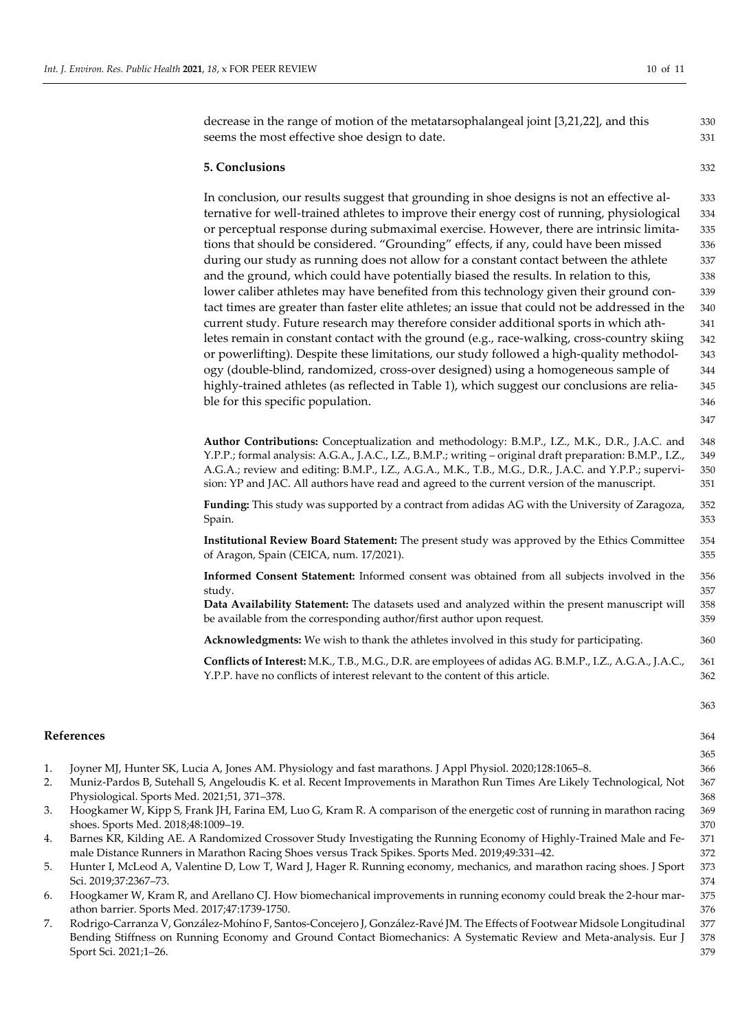decrease in the range of motion of the metatarsophalangeal joint [3,21,22], and this 330 seems the most effective shoe design to date. 331

#### **5. Conclusions** 332

In conclusion, our results suggest that grounding in shoe designs is not an effective al- 333 ternative for well-trained athletes to improve their energy cost of running, physiological 334 or perceptual response during submaximal exercise. However, there are intrinsic limita- 335 tions that should be considered. "Grounding" effects, if any, could have been missed 336 during our study as running does not allow for a constant contact between the athlete 337 and the ground, which could have potentially biased the results. In relation to this, 338 lower caliber athletes may have benefited from this technology given their ground con- 339 tact times are greater than faster elite athletes; an issue that could not be addressed in the 340 current study. Future research may therefore consider additional sports in which ath- 341 letes remain in constant contact with the ground (e.g., race-walking, cross-country skiing 342) or powerlifting). Despite these limitations, our study followed a high-quality methodol- 343 ogy (double-blind, randomized, cross-over designed) using a homogeneous sample of 344 highly-trained athletes (as reflected in Table 1), which suggest our conclusions are relia-<br>345 ble for this specific population. 346

**Author Contributions:** Conceptualization and methodology: B.M.P., I.Z., M.K., D.R., J.A.C. and 348 Y.P.P.; formal analysis: A.G.A., J.A.C., I.Z., B.M.P.; writing – original draft preparation: B.M.P., I.Z., 349 A.G.A.; review and editing: B.M.P., I.Z., A.G.A., M.K., T.B., M.G., D.R., J.A.C. and Y.P.P.; supervi- 350 sion: YP and JAC. All authors have read and agreed to the current version of the manuscript. 351

**Funding:** This study was supported by a contract from adidas AG with the University of Zaragoza, 352 Spain. 353

**Institutional Review Board Statement:** The present study was approved by the Ethics Committee 354 of Aragon, Spain (CEICA, num. 17/2021). 355

**Informed Consent Statement:** Informed consent was obtained from all subjects involved in the 356 study. 357

**Data Availability Statement:** The datasets used and analyzed within the present manuscript will 358 be available from the corresponding author/first author upon request. 359

**Acknowledgments:** We wish to thank the athletes involved in this study for participating. 360

**Conflicts of Interest:** M.K., T.B., M.G., D.R. are employees of adidas AG. B.M.P., I.Z., A.G.A., J.A.C., 361 Y.P.P. have no conflicts of interest relevant to the content of this article. 362

## **References** 364

- 1. Joyner MJ, Hunter SK, Lucia A, Jones AM. Physiology and fast marathons. J Appl Physiol. 2020;128:1065–8. 366
- 2. Muniz-Pardos B, Sutehall S, Angeloudis K. et al. Recent Improvements in Marathon Run Times Are Likely Technological, Not 367 Physiological. Sports Med. 2021;51, 371–378. 368
- 3. Hoogkamer W, Kipp S, Frank JH, Farina EM, Luo G, Kram R. A comparison of the energetic cost of running in marathon racing 369 shoes. Sports Med. 2018;48:1009–19. 370
- 4. Barnes KR, Kilding AE. A Randomized Crossover Study Investigating the Running Economy of Highly-Trained Male and Fe- 371 male Distance Runners in Marathon Racing Shoes versus Track Spikes. Sports Med. 2019;49:331–42. 372
- 5. Hunter I, McLeod A, Valentine D, Low T, Ward J, Hager R. Running economy, mechanics, and marathon racing shoes. J Sport 373 Sci. 2019;37:2367–73. 374
- 6. Hoogkamer W, Kram R, and Arellano CJ. How biomechanical improvements in running economy could break the 2-hour mar- 375 athon barrier. Sports Med. 2017;47:1739-1750. 376
- 7. Rodrigo-Carranza V, González-Mohíno F, Santos-Concejero J, González-Ravé JM. The Effects of Footwear Midsole Longitudinal 377 Bending Stiffness on Running Economy and Ground Contact Biomechanics: A Systematic Review and Meta-analysis. Eur J 378 Sport Sci. 2021;1–26. 379

347

363